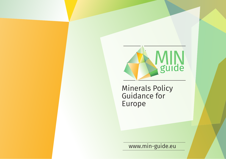

Minerals Policy Guidance for Europe

www.min-guide.eu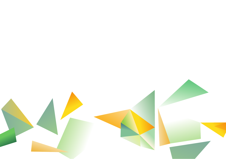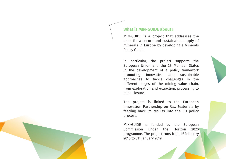### **What is MIN-GUIDE about?**

MIN-GUIDE is a project that addresses the need for a secure and sustainable supply of minerals in Europe by developing a Minerals Policy Guide.

In particular, the project supports the European Union and the 28 Member States in the development of a policy framework promoting innovative and sustainable approaches to tackle challenges in the different stages of the mining value chain, from exploration and extraction, processing to mine closure.

The project is linked to the European Innovation Partnership on Raw Materials by feeding back its results into the EU policy process.

MIN-GUIDE is funded by the European Commission under the Horizon 2020 programme. The project runs from 1st February 2016 to 31st January 2019.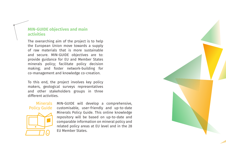## **MIN-GUIDE objectives and main activities**

The overarching aim of the project is to help the European Union move towards a supply of raw materials that is more sustainable and secure. MIN-GUIDE objectives are to: provide guidance for EU and Member States minerals policy; facilitate policy decision making; and foster network-building for co-management and knowledge co-creation.

To this end, the project involves key policy makers, geological surveys representatives and other stakeholders groups in three different activities.

#### Minerals Policy Guide



MIN-GUIDE will develop a comprehensive, customisable, user-friendly and up-to-date Minerals Policy Guide. This online knowledge repository will be based on up-to-date and comparable information on mineral policy and related policy areas at EU level and in the 28 EU Member States.

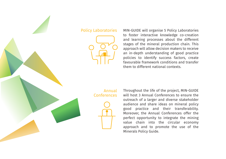## Policy Laboratories



MIN-GUIDE will organise 5 Policy Laboratories to foster interactive knowledge co-creation and learning processes about the different stages of the mineral production chain. This approach will allow decision makers to receive an in-depth understanding of good practice policies to identify success factors, create favourable framework conditions and transfer them to different national contexts.

Annual **Conferences** 



Throughout the life of the project, MIN-GUIDE will host 3 Annual Conferences to ensure the outreach of a larger and diverse stakeholder audience and share ideas on mineral policy good practice and their transferability. Moreover, the Annual Conferences offer the perfect opportunity to integrate the mining value chain into the circular economy approach and to promote the use of the Minerals Policy Guide.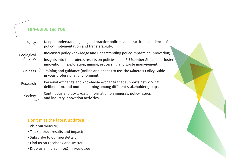# **MIN-GUIDE and YOU**

| Policy                | Deeper understanding on good practice policies and practical experiences for<br>policy implementation and transferability;                                |
|-----------------------|-----------------------------------------------------------------------------------------------------------------------------------------------------------|
| Geological<br>Surveys | Increased policy knowledge and understanding policy impacts on innovation;                                                                                |
|                       | Insights into the projects results on policies in all EU Member States that foster<br>innovation in exploration, mining, processing and waste management; |
| <b>Business</b>       | Training and guidance (online and onsite) to use the Minerals Policy Guide<br>in your professional environment;                                           |
| Research              | Personal exchange and knowledge exchange that supports networking,<br>deliberation, and mutual learning among different stakeholder groups;               |
| Society               | Continuous and up-to-date information on minerals policy issues<br>and industry innovation activities.                                                    |

## Don't miss the latest updates!

- Visit our website;
- Track project results and impact;
- Subscribe to our newsletter;
- Find us on Facebook and Twitter;
- Drop us a line at: info@min-guide.eu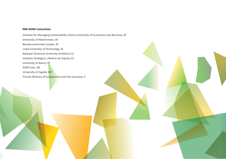#### **MIN-GUIDE Consortium**

Institute for Managing Sustainability, Vienna University of Economics and Business, AT University of Westminster, UK Montanuniversität Leoben, AT Luleå University of Technology, SE National Technical University of Athens, EL Instituto Geológico y Minero de España, ES University of Aveiro, PT GOPA Com., BE University of Zagreb, HR Finnish Ministry of Employment and the Economy, FI